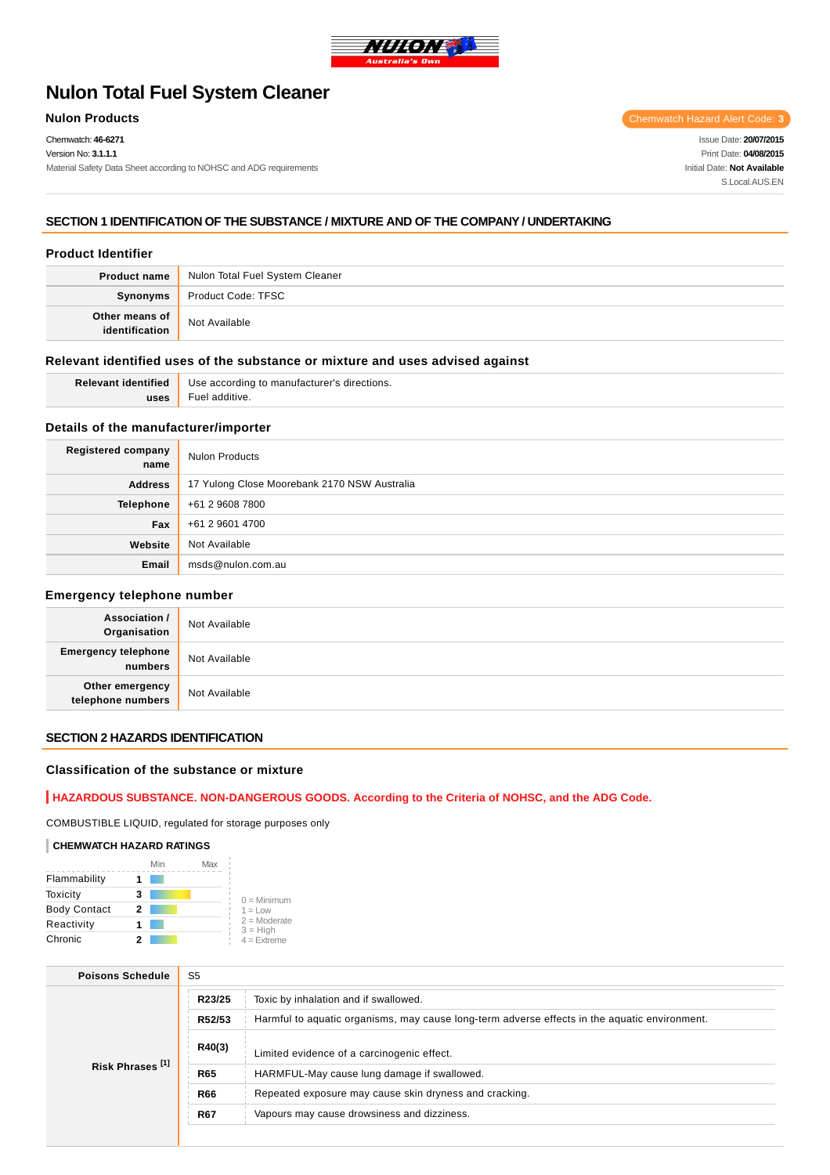

# **Nulon Total Fuel System Cleaner**

Chemwatch: **46-6271**

Version No: **3.1.1.1**

Material Safety Data Sheet according to NOHSC and ADG requirements

**Nulon Products** Chemwatch Hazard Alert Code: 3

Issue Date: **20/07/2015** Print Date: **04/08/2015** Initial Date: **Not Available** S.Local AUS FN

# **SECTION 1 IDENTIFICATION OF THE SUBSTANCE / MIXTURE AND OF THE COMPANY / UNDERTAKING**

# **Product Identifier**

| <b>Product name</b> | Nulon Total Fuel System Cleaner |
|---------------------|---------------------------------|
| Synonyms            | Product Code: TFSC              |
| Other means of      | Not Available                   |

# **Relevant identified uses of the substance or mixture and uses advised against**

| <b>Relevant identified</b> | Use according to manufacturer's directions. |
|----------------------------|---------------------------------------------|
| uses                       | Fuel additive.                              |

# **Details of the manufacturer/importer**

| <b>Registered company</b><br>name | <b>Nulon Products</b>                        |
|-----------------------------------|----------------------------------------------|
| <b>Address</b>                    | 17 Yulong Close Moorebank 2170 NSW Australia |
| <b>Telephone</b>                  | +61 2 9608 7800                              |
| Fax                               | +61 2 9601 4700                              |
| Website                           | Not Available                                |
| Email                             | msds@nulon.com.au                            |

#### **Emergency telephone number**

| <b>Association /</b><br>Organisation  | Not Available |
|---------------------------------------|---------------|
| <b>Emergency telephone</b><br>numbers | Not Available |
| Other emergency<br>telephone numbers  | Not Available |

# **SECTION 2 HAZARDS IDENTIFICATION**

## **Classification of the substance or mixture**

# **HAZARDOUS SUBSTANCE. NON-DANGEROUS GOODS. According to the Criteria of NOHSC, and the ADG Code.**

COMBUSTIBLE LIQUID, regulated for storage purposes only

#### **CHEMWATCH HAZARD RATINGS**

|                     | Min | Max |                              |
|---------------------|-----|-----|------------------------------|
| Flammability        |     |     |                              |
| Toxicity            | 3   |     | $0 =$ Minimum                |
| <b>Body Contact</b> | 2   |     | $1 = Low$                    |
| Reactivity          |     |     | $2 =$ Moderate<br>$3 = High$ |
| Chronic             |     |     | $4 =$ Extreme                |

| <b>Poisons Schedule</b>     | S <sub>5</sub>                                                                                          |  |  |
|-----------------------------|---------------------------------------------------------------------------------------------------------|--|--|
|                             | Toxic by inhalation and if swallowed.<br>R23/25                                                         |  |  |
|                             | R52/53<br>Harmful to aquatic organisms, may cause long-term adverse effects in the aquatic environment. |  |  |
|                             | R40(3)<br>Limited evidence of a carcinogenic effect.                                                    |  |  |
| Risk Phrases <sup>[1]</sup> | <b>R65</b><br>HARMFUL-May cause lung damage if swallowed.                                               |  |  |
|                             | <b>R66</b><br>Repeated exposure may cause skin dryness and cracking.                                    |  |  |
|                             | Vapours may cause drowsiness and dizziness.<br><b>R67</b>                                               |  |  |
|                             |                                                                                                         |  |  |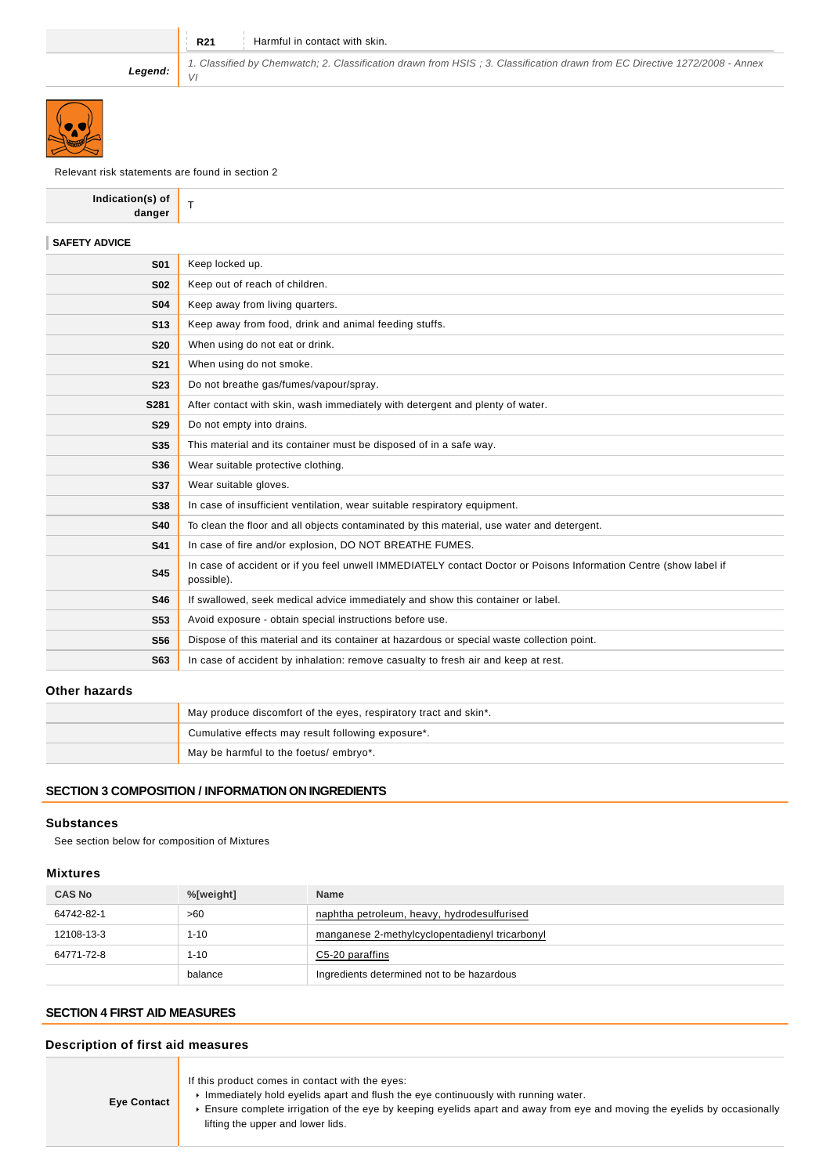VI

**R21** Harmful in contact with skin.

**Legend:**



# Relevant risk statements are found in section 2

| Indication(s) of<br>danger | T                                                                                                                               |
|----------------------------|---------------------------------------------------------------------------------------------------------------------------------|
| <b>SAFETY ADVICE</b>       |                                                                                                                                 |
| <b>S01</b>                 | Keep locked up.                                                                                                                 |
| <b>S02</b>                 | Keep out of reach of children.                                                                                                  |
| <b>S04</b>                 | Keep away from living quarters.                                                                                                 |
| S <sub>13</sub>            | Keep away from food, drink and animal feeding stuffs.                                                                           |
| <b>S20</b>                 | When using do not eat or drink.                                                                                                 |
| <b>S21</b>                 | When using do not smoke.                                                                                                        |
| <b>S23</b>                 | Do not breathe gas/fumes/vapour/spray.                                                                                          |
| S281                       | After contact with skin, wash immediately with detergent and plenty of water.                                                   |
| <b>S29</b>                 | Do not empty into drains.                                                                                                       |
| <b>S35</b>                 | This material and its container must be disposed of in a safe way.                                                              |
| S36                        | Wear suitable protective clothing.                                                                                              |
| S37                        | Wear suitable gloves.                                                                                                           |
| S38                        | In case of insufficient ventilation, wear suitable respiratory equipment.                                                       |
| <b>S40</b>                 | To clean the floor and all objects contaminated by this material, use water and detergent.                                      |
| <b>S41</b>                 | In case of fire and/or explosion, DO NOT BREATHE FUMES.                                                                         |
| <b>S45</b>                 | In case of accident or if you feel unwell IMMEDIATELY contact Doctor or Poisons Information Centre (show label if<br>possible). |
| S46                        | If swallowed, seek medical advice immediately and show this container or label.                                                 |
| <b>S53</b>                 | Avoid exposure - obtain special instructions before use.                                                                        |
| <b>S56</b>                 | Dispose of this material and its container at hazardous or special waste collection point.                                      |
| S63                        | In case of accident by inhalation: remove casualty to fresh air and keep at rest.                                               |
|                            |                                                                                                                                 |

1. Classified by Chemwatch; 2. Classification drawn from HSIS ; 3. Classification drawn from EC Directive 1272/2008 - Annex

# **Other hazards**

| May produce discomfort of the eyes, respiratory tract and skin*. |  |
|------------------------------------------------------------------|--|
| Cumulative effects may result following exposure*.               |  |
| May be harmful to the foetus/ embryo*.                           |  |

### **SECTION 3 COMPOSITION / INFORMATION ON INGREDIENTS**

## **Substances**

See section below for composition of Mixtures

### **Mixtures**

| <b>CAS No</b> | %[weight] | <b>Name</b>                                    |
|---------------|-----------|------------------------------------------------|
| 64742-82-1    | >60       | naphtha petroleum, heavy, hydrodesulfurised    |
| 12108-13-3    | $1 - 10$  | manganese 2-methylcyclopentadienyl tricarbonyl |
| 64771-72-8    | $1 - 10$  | C5-20 paraffins                                |
|               | balance   | Ingredients determined not to be hazardous     |

# **SECTION 4 FIRST AID MEASURES**

# **Description of first aid measures**

| <b>Eye Contact</b> | If this product comes in contact with the eyes:<br>Immediately hold eyelids apart and flush the eye continuously with running water.<br>Ensure complete irrigation of the eye by keeping eyelids apart and away from eye and moving the eyelids by occasionally<br>lifting the upper and lower lids. |
|--------------------|------------------------------------------------------------------------------------------------------------------------------------------------------------------------------------------------------------------------------------------------------------------------------------------------------|
|--------------------|------------------------------------------------------------------------------------------------------------------------------------------------------------------------------------------------------------------------------------------------------------------------------------------------------|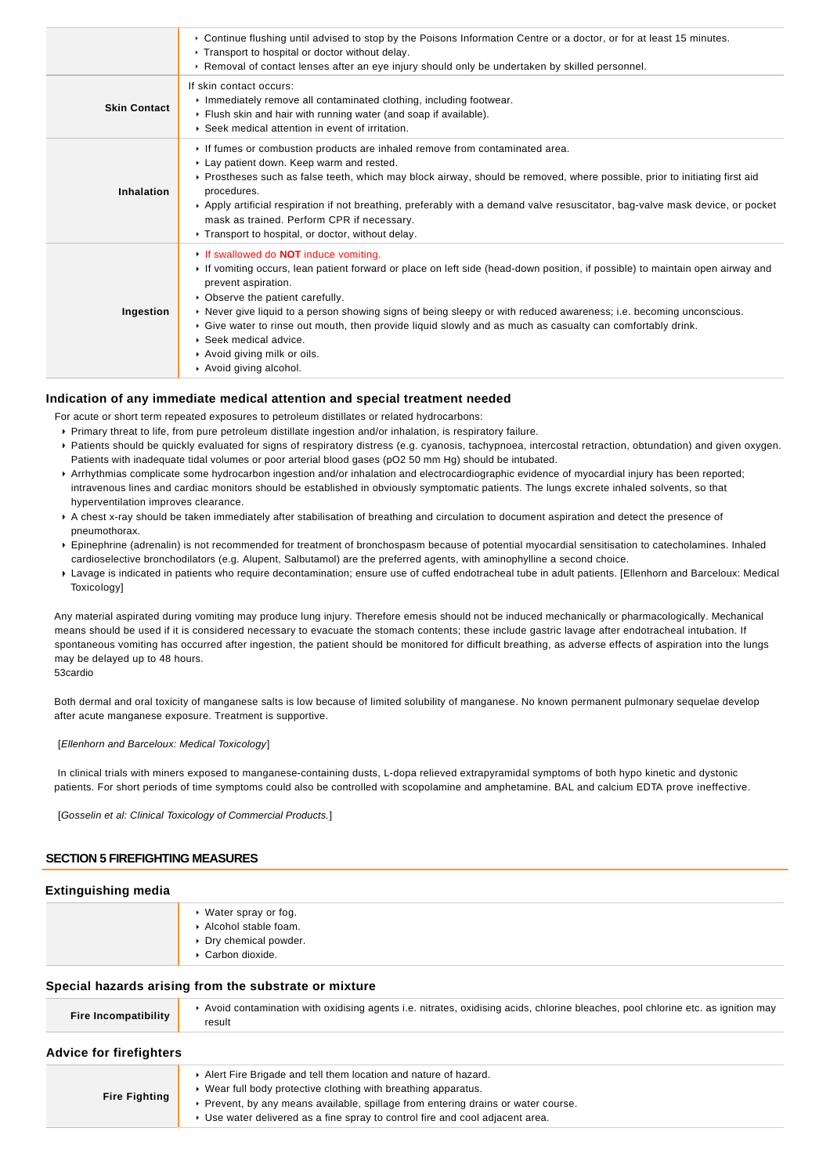|                     | ▶ Continue flushing until advised to stop by the Poisons Information Centre or a doctor, or for at least 15 minutes.<br>Transport to hospital or doctor without delay.<br>► Removal of contact lenses after an eye injury should only be undertaken by skilled personnel.                                                                                                                                                                                                                                                                                    |
|---------------------|--------------------------------------------------------------------------------------------------------------------------------------------------------------------------------------------------------------------------------------------------------------------------------------------------------------------------------------------------------------------------------------------------------------------------------------------------------------------------------------------------------------------------------------------------------------|
| <b>Skin Contact</b> | If skin contact occurs:<br>Inmediately remove all contaminated clothing, including footwear.<br>Flush skin and hair with running water (and soap if available).<br>▶ Seek medical attention in event of irritation.                                                                                                                                                                                                                                                                                                                                          |
| Inhalation          | If fumes or combustion products are inhaled remove from contaminated area.<br>Lay patient down. Keep warm and rested.<br>▶ Prostheses such as false teeth, which may block airway, should be removed, where possible, prior to initiating first aid<br>procedures.<br>Apply artificial respiration if not breathing, preferably with a demand valve resuscitator, bag-valve mask device, or pocket<br>mask as trained. Perform CPR if necessary.<br>▶ Transport to hospital, or doctor, without delay.                                                       |
| Ingestion           | If swallowed do <b>NOT</b> induce vomiting.<br>If vomiting occurs, lean patient forward or place on left side (head-down position, if possible) to maintain open airway and<br>prevent aspiration.<br>• Observe the patient carefully.<br>► Never give liquid to a person showing signs of being sleepy or with reduced awareness; i.e. becoming unconscious.<br>► Give water to rinse out mouth, then provide liquid slowly and as much as casualty can comfortably drink.<br>▶ Seek medical advice.<br>Avoid giving milk or oils.<br>Avoid giving alcohol. |

### **Indication of any immediate medical attention and special treatment needed**

For acute or short term repeated exposures to petroleum distillates or related hydrocarbons:

- Primary threat to life, from pure petroleum distillate ingestion and/or inhalation, is respiratory failure.
- Patients should be quickly evaluated for signs of respiratory distress (e.g. cyanosis, tachypnoea, intercostal retraction, obtundation) and given oxygen. Patients with inadequate tidal volumes or poor arterial blood gases (pO2 50 mm Hg) should be intubated.
- Arrhythmias complicate some hydrocarbon ingestion and/or inhalation and electrocardiographic evidence of myocardial injury has been reported; intravenous lines and cardiac monitors should be established in obviously symptomatic patients. The lungs excrete inhaled solvents, so that hyperventilation improves clearance.
- A chest x-ray should be taken immediately after stabilisation of breathing and circulation to document aspiration and detect the presence of pneumothorax.
- Epinephrine (adrenalin) is not recommended for treatment of bronchospasm because of potential myocardial sensitisation to catecholamines. Inhaled cardioselective bronchodilators (e.g. Alupent, Salbutamol) are the preferred agents, with aminophylline a second choice.
- Lavage is indicated in patients who require decontamination; ensure use of cuffed endotracheal tube in adult patients. [Ellenhorn and Barceloux: Medical Toxicology]

Any material aspirated during vomiting may produce lung injury. Therefore emesis should not be induced mechanically or pharmacologically. Mechanical means should be used if it is considered necessary to evacuate the stomach contents; these include gastric lavage after endotracheal intubation. If spontaneous vomiting has occurred after ingestion, the patient should be monitored for difficult breathing, as adverse effects of aspiration into the lungs may be delayed up to 48 hours.

53cardio

Both dermal and oral toxicity of manganese salts is low because of limited solubility of manganese. No known permanent pulmonary sequelae develop after acute manganese exposure. Treatment is supportive.

[Ellenhorn and Barceloux: Medical Toxicology]

 In clinical trials with miners exposed to manganese-containing dusts, L-dopa relieved extrapyramidal symptoms of both hypo kinetic and dystonic patients. For short periods of time symptoms could also be controlled with scopolamine and amphetamine. BAL and calcium EDTA prove ineffective.

[Gosselin et al: Clinical Toxicology of Commercial Products.]

#### **SECTION 5 FIREFIGHTING MEASURES**

#### **Extinguishing media**

| $\triangleright$ Water spray or fog.<br>$\triangleright$ Alcohol stable foam.<br>Dry chemical powder.<br>▶ Carbon dioxide. |
|----------------------------------------------------------------------------------------------------------------------------|
|                                                                                                                            |

### **Special hazards arising from the substrate or mixture**

| Fire Incompatibility           | Avoid contamination with oxidising agents i.e. nitrates, oxidising acids, chlorine bleaches, pool chlorine etc. as ignition may<br>result                                                                              |
|--------------------------------|------------------------------------------------------------------------------------------------------------------------------------------------------------------------------------------------------------------------|
| <b>Advice for firefighters</b> |                                                                                                                                                                                                                        |
| <b>Fire Fighting</b>           | Alert Fire Brigade and tell them location and nature of hazard.<br>► Wear full body protective clothing with breathing apparatus.<br>► Prevent, by any means available, spillage from entering drains or water course. |
|                                | ► Use water delivered as a fine spray to control fire and cool adjacent area.                                                                                                                                          |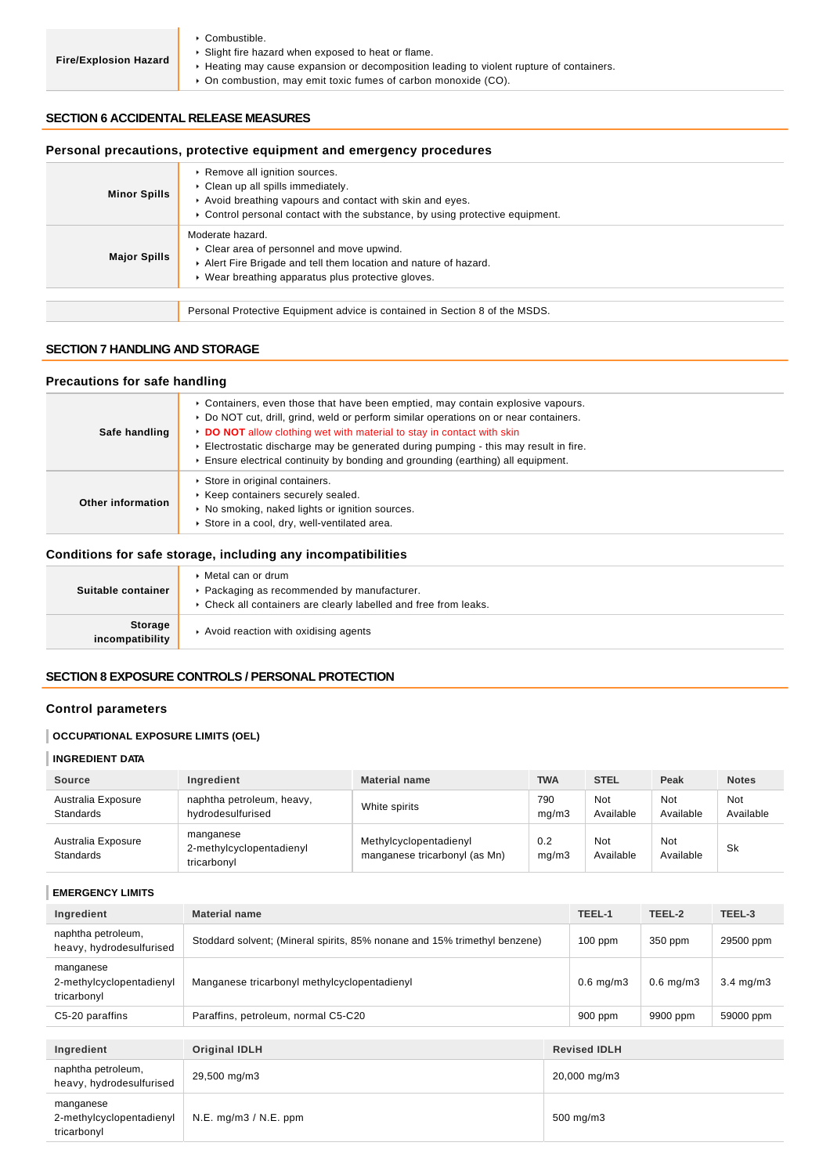- Combustible.
- Slight fire hazard when exposed to heat or flame.
- ▶ Heating may cause expansion or decomposition leading to violent rupture of containers.
	- On combustion, may emit toxic fumes of carbon monoxide (CO).

### **SECTION 6 ACCIDENTAL RELEASE MEASURES**

# **Personal precautions, protective equipment and emergency procedures**

| <b>Minor Spills</b> | ▶ Remove all ignition sources.<br>• Clean up all spills immediately.<br>Avoid breathing vapours and contact with skin and eyes.<br>► Control personal contact with the substance, by using protective equipment. |
|---------------------|------------------------------------------------------------------------------------------------------------------------------------------------------------------------------------------------------------------|
| <b>Major Spills</b> | Moderate hazard.<br>• Clear area of personnel and move upwind.<br>Alert Fire Brigade and tell them location and nature of hazard.<br>• Wear breathing apparatus plus protective gloves.                          |
|                     |                                                                                                                                                                                                                  |
|                     | Personal Protective Equipment advice is contained in Section 8 of the MSDS.                                                                                                                                      |

### **SECTION 7 HANDLING AND STORAGE**

# **Precautions for safe handling**

| Safe handling     | ► Containers, even those that have been emptied, may contain explosive vapours.<br>▶ Do NOT cut, drill, grind, weld or perform similar operations on or near containers.<br>DO NOT allow clothing wet with material to stay in contact with skin<br>Electrostatic discharge may be generated during pumping - this may result in fire.<br>$\triangleright$ Ensure electrical continuity by bonding and grounding (earthing) all equipment. |
|-------------------|--------------------------------------------------------------------------------------------------------------------------------------------------------------------------------------------------------------------------------------------------------------------------------------------------------------------------------------------------------------------------------------------------------------------------------------------|
| Other information | Store in original containers.<br>▶ Keep containers securely sealed.<br>• No smoking, naked lights or ignition sources.<br>Store in a cool, dry, well-ventilated area.                                                                                                                                                                                                                                                                      |

# **Conditions for safe storage, including any incompatibilities**

| Suitable container                | Metal can or drum<br>Packaging as recommended by manufacturer.<br>Check all containers are clearly labelled and free from leaks. |
|-----------------------------------|----------------------------------------------------------------------------------------------------------------------------------|
| <b>Storage</b><br>incompatibility | Avoid reaction with oxidising agents                                                                                             |

# **SECTION 8 EXPOSURE CONTROLS / PERSONAL PROTECTION**

# **Control parameters**

### **OCCUPATIONAL EXPOSURE LIMITS (OEL)**

# **INGREDIENT DATA**

| <b>Source</b>                          | Ingredient                                           | <b>Material name</b>                                    | <b>TWA</b>   | <b>STEL</b>      | Peak             | <b>Notes</b>     |
|----------------------------------------|------------------------------------------------------|---------------------------------------------------------|--------------|------------------|------------------|------------------|
| Australia Exposure<br><b>Standards</b> | naphtha petroleum, heavy,<br>hydrodesulfurised       | White spirits                                           | 790<br>ma/m3 | Not<br>Available | Not<br>Available | Not<br>Available |
| Australia Exposure<br><b>Standards</b> | manganese<br>2-methylcyclopentadienyl<br>tricarbonyl | Methylcyclopentadienyl<br>manganese tricarbonyl (as Mn) | 0.2<br>mq/m3 | Not<br>Available | Not<br>Available | Sk               |

# **EMERGENCY LIMITS**

| Ingredient                                           | <b>Material name</b>                                                      |  | TEEL-1              | TEEL-2         | TEEL-3             |
|------------------------------------------------------|---------------------------------------------------------------------------|--|---------------------|----------------|--------------------|
| naphtha petroleum,<br>heavy, hydrodesulfurised       | Stoddard solvent; (Mineral spirits, 85% nonane and 15% trimethyl benzene) |  | $100$ ppm           | 350 ppm        | 29500 ppm          |
| manganese<br>2-methylcyclopentadienyl<br>tricarbonyl | Manganese tricarbonyl methylcyclopentadienyl                              |  | $0.6$ mg/m $3$      | $0.6$ mg/m $3$ | $3.4 \text{ mg/m}$ |
| C5-20 paraffins                                      | Paraffins, petroleum, normal C5-C20                                       |  | $900$ ppm           | 9900 ppm       | 59000 ppm          |
|                                                      |                                                                           |  |                     |                |                    |
| Ingredient                                           | <b>Original IDLH</b>                                                      |  | <b>Revised IDLH</b> |                |                    |
| naphtha petroleum,<br>heavy, hydrodesulfurised       | 29,500 mg/m3                                                              |  | 20,000 mg/m3        |                |                    |
| manganese<br>2-methylcyclopentadienyl<br>tricarbonyl | $N.E.$ mg/m $3 / N.E.$ ppm<br>500 mg/m3                                   |  |                     |                |                    |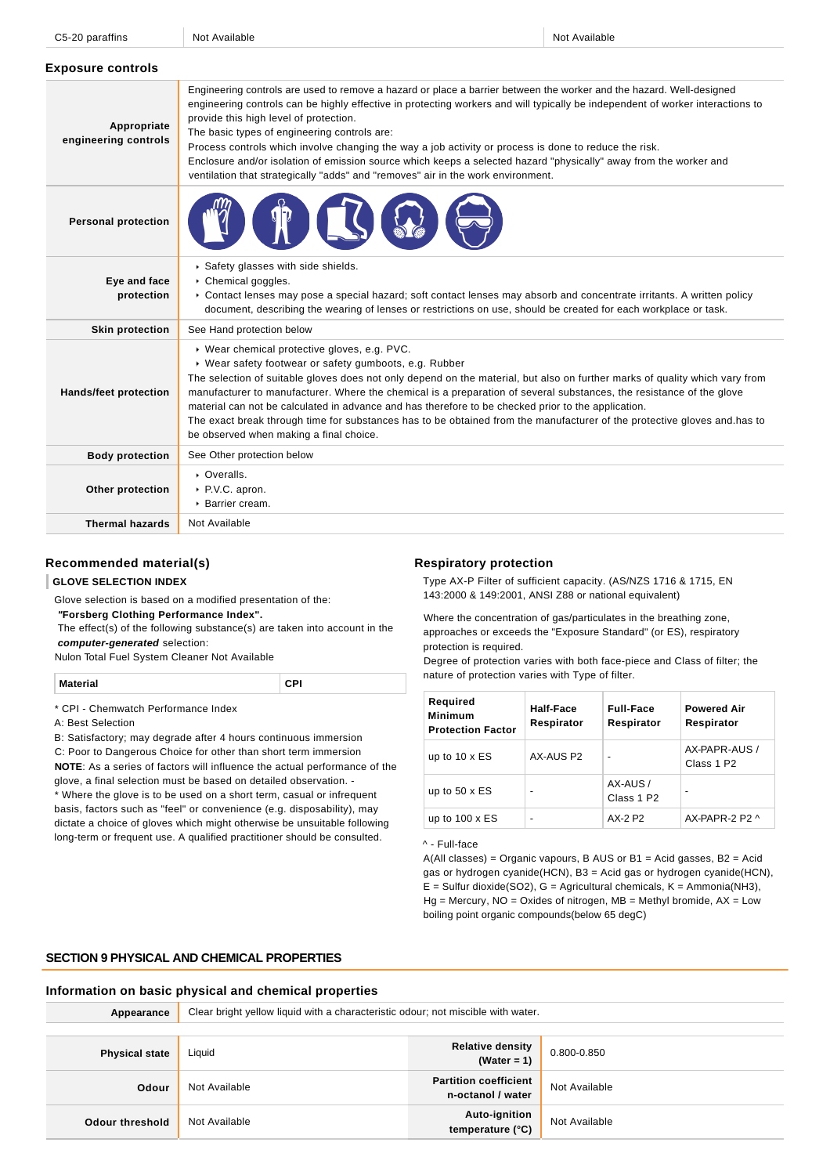| C5-20 paraffins |
|-----------------|
|                 |

C5-20 paraffins Not Available Not Available Not Available Not Available Not Available Not Available Not Available

| <b>Exposure controls</b>            |                                                                                                                                                                                                                                                                                                                                                                                                                                                                                                                                                                                                                                                                    |
|-------------------------------------|--------------------------------------------------------------------------------------------------------------------------------------------------------------------------------------------------------------------------------------------------------------------------------------------------------------------------------------------------------------------------------------------------------------------------------------------------------------------------------------------------------------------------------------------------------------------------------------------------------------------------------------------------------------------|
| Appropriate<br>engineering controls | Engineering controls are used to remove a hazard or place a barrier between the worker and the hazard. Well-designed<br>engineering controls can be highly effective in protecting workers and will typically be independent of worker interactions to<br>provide this high level of protection.<br>The basic types of engineering controls are:<br>Process controls which involve changing the way a job activity or process is done to reduce the risk.<br>Enclosure and/or isolation of emission source which keeps a selected hazard "physically" away from the worker and<br>ventilation that strategically "adds" and "removes" air in the work environment. |
| <b>Personal protection</b>          |                                                                                                                                                                                                                                                                                                                                                                                                                                                                                                                                                                                                                                                                    |
| Eye and face<br>protection          | Safety glasses with side shields.<br>Chemical goggles.<br>► Contact lenses may pose a special hazard; soft contact lenses may absorb and concentrate irritants. A written policy<br>document, describing the wearing of lenses or restrictions on use, should be created for each workplace or task.                                                                                                                                                                                                                                                                                                                                                               |
| <b>Skin protection</b>              | See Hand protection below                                                                                                                                                                                                                                                                                                                                                                                                                                                                                                                                                                                                                                          |
| <b>Hands/feet protection</b>        | ▶ Wear chemical protective gloves, e.g. PVC.<br>▶ Wear safety footwear or safety gumboots, e.g. Rubber<br>The selection of suitable gloves does not only depend on the material, but also on further marks of quality which vary from<br>manufacturer to manufacturer. Where the chemical is a preparation of several substances, the resistance of the glove<br>material can not be calculated in advance and has therefore to be checked prior to the application.<br>The exact break through time for substances has to be obtained from the manufacturer of the protective gloves and has to<br>be observed when making a final choice.                        |
| <b>Body protection</b>              | See Other protection below                                                                                                                                                                                                                                                                                                                                                                                                                                                                                                                                                                                                                                         |
| Other protection                    | • Overalls.<br>▶ P.V.C. apron.<br>$\triangleright$ Barrier cream.                                                                                                                                                                                                                                                                                                                                                                                                                                                                                                                                                                                                  |
| <b>Thermal hazards</b>              | Not Available                                                                                                                                                                                                                                                                                                                                                                                                                                                                                                                                                                                                                                                      |

# **Recommended material(s)**

# **GLOVE SELECTION INDEX**

Glove selection is based on a modified presentation of the:

 **"Forsberg Clothing Performance Index".**

 The effect(s) of the following substance(s) are taken into account in the **computer-generated** selection:

Nulon Total Fuel System Cleaner Not Available

| <b>Material</b> |  |
|-----------------|--|
|-----------------|--|

\* CPI - Chemwatch Performance Index

A: Best Selection

B: Satisfactory; may degrade after 4 hours continuous immersion

C: Poor to Dangerous Choice for other than short term immersion **NOTE**: As a series of factors will influence the actual performance of the glove, a final selection must be based on detailed observation. -

\* Where the glove is to be used on a short term, casual or infrequent basis, factors such as "feel" or convenience (e.g. disposability), may dictate a choice of gloves which might otherwise be unsuitable following long-term or frequent use. A qualified practitioner should be consulted.

#### **Respiratory protection**

Type AX-P Filter of sufficient capacity. (AS/NZS 1716 & 1715, EN 143:2000 & 149:2001, ANSI Z88 or national equivalent)

Where the concentration of gas/particulates in the breathing zone, approaches or exceeds the "Exposure Standard" (or ES), respiratory protection is required.

Degree of protection varies with both face-piece and Class of filter; the nature of protection varies with Type of filter.

| Required<br><b>Minimum</b><br><b>Protection Factor</b> | Half-Face<br>Respirator | <b>Full-Face</b><br>Respirator     | <b>Powered Air</b><br>Respirator        |
|--------------------------------------------------------|-------------------------|------------------------------------|-----------------------------------------|
| up to $10 \times ES$                                   | AX-AUS P2               | -                                  | AX-PAPR-AUS /<br>Class 1 P <sub>2</sub> |
| up to $50 \times ES$                                   |                         | AX-AUS /<br>Class 1 P <sub>2</sub> |                                         |
| up to $100 \times ES$                                  |                         | AX-2 P2                            | $AX-PAPR-2P2 \wedge$                    |

#### ^ - Full-face

 $A(All classes) = Organic vapours, B AUS or B1 = Acid gases, B2 = Acid$ gas or hydrogen cyanide(HCN), B3 = Acid gas or hydrogen cyanide(HCN),  $E =$  Sulfur dioxide(SO2),  $G =$  Agricultural chemicals,  $K =$  Ammonia(NH3),  $Hg =$  Mercury, NO = Oxides of nitrogen, MB = Methyl bromide, AX = Low boiling point organic compounds(below 65 degC)

# **SECTION 9 PHYSICAL AND CHEMICAL PROPERTIES**

#### **Information on basic physical and chemical properties**

| Appearance            | Clear bright yellow liquid with a characteristic odour; not miscible with water. |                                                   |               |  |
|-----------------------|----------------------------------------------------------------------------------|---------------------------------------------------|---------------|--|
|                       |                                                                                  |                                                   |               |  |
| <b>Physical state</b> | Liquid                                                                           | Relative density<br>(Water = 1)                   | 0.800-0.850   |  |
| Odour                 | Not Available                                                                    | <b>Partition coefficient</b><br>n-octanol / water | Not Available |  |
| Odour threshold       | Not Available                                                                    | Auto-ignition<br>temperature (°C)                 | Not Available |  |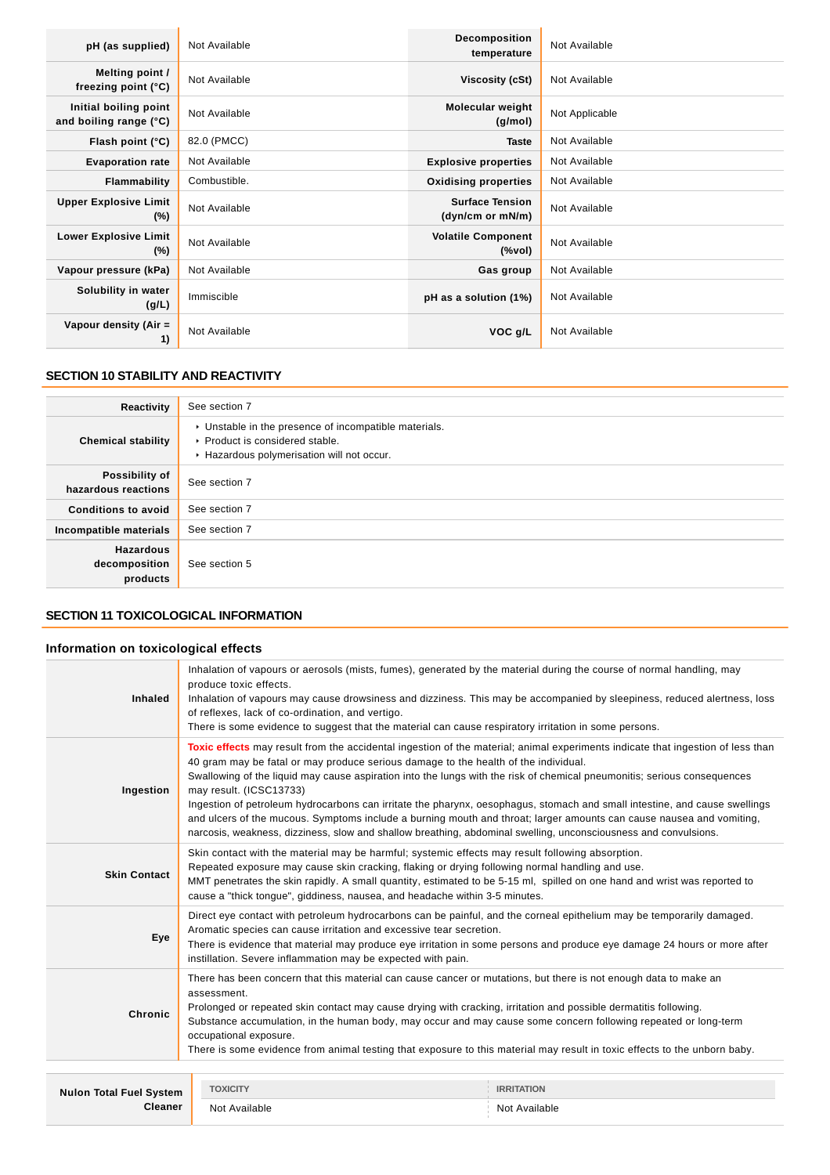| pH (as supplied)                                | Not Available | <b>Decomposition</b><br>temperature        | Not Available  |
|-------------------------------------------------|---------------|--------------------------------------------|----------------|
| Melting point /<br>freezing point (°C)          | Not Available | Viscosity (cSt)                            | Not Available  |
| Initial boiling point<br>and boiling range (°C) | Not Available | Molecular weight<br>(g/mol)                | Not Applicable |
| Flash point (°C)                                | 82.0 (PMCC)   | <b>Taste</b>                               | Not Available  |
| <b>Evaporation rate</b>                         | Not Available | <b>Explosive properties</b>                | Not Available  |
| Flammability                                    | Combustible.  | <b>Oxidising properties</b>                | Not Available  |
| <b>Upper Explosive Limit</b><br>$(\%)$          | Not Available | <b>Surface Tension</b><br>(dyn/cm or mN/m) | Not Available  |
| <b>Lower Explosive Limit</b><br>$(\%)$          | Not Available | <b>Volatile Component</b><br>(%vol)        | Not Available  |
| Vapour pressure (kPa)                           | Not Available | Gas group                                  | Not Available  |
| Solubility in water<br>(g/L)                    | Immiscible    | pH as a solution (1%)                      | Not Available  |
| Vapour density (Air $=$<br>1)                   | Not Available | VOC g/L                                    | Not Available  |

# **SECTION 10 STABILITY AND REACTIVITY**

| Reactivity                                    | See section 7                                                                                                                        |
|-----------------------------------------------|--------------------------------------------------------------------------------------------------------------------------------------|
| <b>Chemical stability</b>                     | • Unstable in the presence of incompatible materials.<br>▶ Product is considered stable.<br>Hazardous polymerisation will not occur. |
| Possibility of<br>hazardous reactions         | See section 7                                                                                                                        |
| <b>Conditions to avoid</b>                    | See section 7                                                                                                                        |
| Incompatible materials                        | See section 7                                                                                                                        |
| <b>Hazardous</b><br>decomposition<br>products | See section 5                                                                                                                        |

# **SECTION 11 TOXICOLOGICAL INFORMATION**

# **Information on toxicological effects**

| <b>Inhaled</b>                 | Inhalation of vapours or aerosols (mists, fumes), generated by the material during the course of normal handling, may<br>produce toxic effects.<br>Inhalation of vapours may cause drowsiness and dizziness. This may be accompanied by sleepiness, reduced alertness, loss<br>of reflexes, lack of co-ordination, and vertigo.<br>There is some evidence to suggest that the material can cause respiratory irritation in some persons.                                                                                                                                                                                                                                                                                                               |                   |  |
|--------------------------------|--------------------------------------------------------------------------------------------------------------------------------------------------------------------------------------------------------------------------------------------------------------------------------------------------------------------------------------------------------------------------------------------------------------------------------------------------------------------------------------------------------------------------------------------------------------------------------------------------------------------------------------------------------------------------------------------------------------------------------------------------------|-------------------|--|
| Ingestion                      | Toxic effects may result from the accidental ingestion of the material; animal experiments indicate that ingestion of less than<br>40 gram may be fatal or may produce serious damage to the health of the individual.<br>Swallowing of the liquid may cause aspiration into the lungs with the risk of chemical pneumonitis; serious consequences<br>may result. (ICSC13733)<br>Ingestion of petroleum hydrocarbons can irritate the pharynx, oesophagus, stomach and small intestine, and cause swellings<br>and ulcers of the mucous. Symptoms include a burning mouth and throat; larger amounts can cause nausea and vomiting,<br>narcosis, weakness, dizziness, slow and shallow breathing, abdominal swelling, unconsciousness and convulsions. |                   |  |
| <b>Skin Contact</b>            | Skin contact with the material may be harmful; systemic effects may result following absorption.<br>Repeated exposure may cause skin cracking, flaking or drying following normal handling and use.<br>MMT penetrates the skin rapidly. A small quantity, estimated to be 5-15 ml, spilled on one hand and wrist was reported to<br>cause a "thick tongue", giddiness, nausea, and headache within 3-5 minutes.                                                                                                                                                                                                                                                                                                                                        |                   |  |
| Eye                            | Direct eye contact with petroleum hydrocarbons can be painful, and the corneal epithelium may be temporarily damaged.<br>Aromatic species can cause irritation and excessive tear secretion.<br>There is evidence that material may produce eye irritation in some persons and produce eye damage 24 hours or more after<br>instillation. Severe inflammation may be expected with pain.                                                                                                                                                                                                                                                                                                                                                               |                   |  |
| Chronic                        | There has been concern that this material can cause cancer or mutations, but there is not enough data to make an<br>assessment.<br>Prolonged or repeated skin contact may cause drying with cracking, irritation and possible dermatitis following.<br>Substance accumulation, in the human body, may occur and may cause some concern following repeated or long-term<br>occupational exposure.<br>There is some evidence from animal testing that exposure to this material may result in toxic effects to the unborn baby.                                                                                                                                                                                                                          |                   |  |
|                                |                                                                                                                                                                                                                                                                                                                                                                                                                                                                                                                                                                                                                                                                                                                                                        |                   |  |
| <b>Nulon Total Fuel System</b> | <b>TOXICITY</b>                                                                                                                                                                                                                                                                                                                                                                                                                                                                                                                                                                                                                                                                                                                                        | <b>IRRITATION</b> |  |
| <b>Cleaner</b>                 | Not Available                                                                                                                                                                                                                                                                                                                                                                                                                                                                                                                                                                                                                                                                                                                                          | Not Available     |  |
|                                |                                                                                                                                                                                                                                                                                                                                                                                                                                                                                                                                                                                                                                                                                                                                                        |                   |  |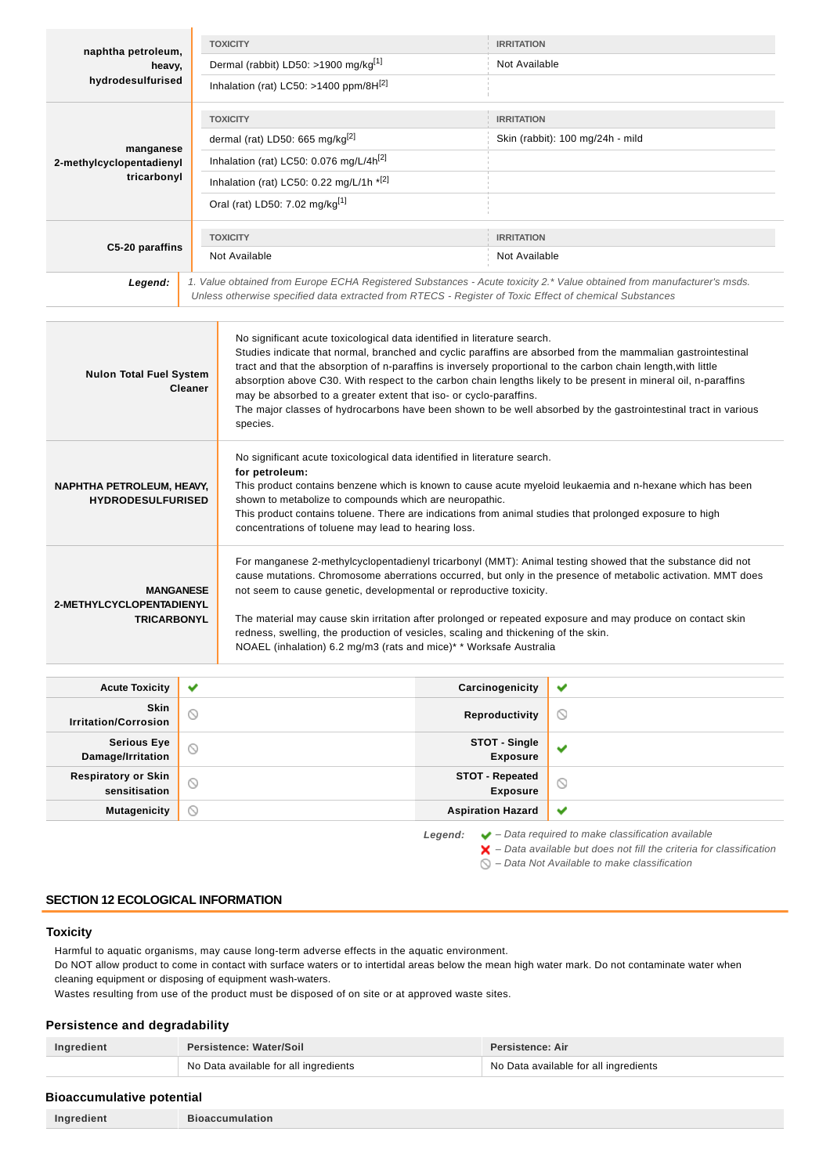| naphtha petroleum,                                                                                                                                                                                                                                                                                                                                                                                                                                                                                                                                                                                                                                |                                                                                                                                                                                                                                                                                                                                                                                                                                                                   | <b>TOXICITY</b>                                                                                                                                                                                 | <b>IRRITATION</b>                |                                                                                                                                                                                                                                                                                                                                                   |  |
|---------------------------------------------------------------------------------------------------------------------------------------------------------------------------------------------------------------------------------------------------------------------------------------------------------------------------------------------------------------------------------------------------------------------------------------------------------------------------------------------------------------------------------------------------------------------------------------------------------------------------------------------------|-------------------------------------------------------------------------------------------------------------------------------------------------------------------------------------------------------------------------------------------------------------------------------------------------------------------------------------------------------------------------------------------------------------------------------------------------------------------|-------------------------------------------------------------------------------------------------------------------------------------------------------------------------------------------------|----------------------------------|---------------------------------------------------------------------------------------------------------------------------------------------------------------------------------------------------------------------------------------------------------------------------------------------------------------------------------------------------|--|
| heavy,                                                                                                                                                                                                                                                                                                                                                                                                                                                                                                                                                                                                                                            |                                                                                                                                                                                                                                                                                                                                                                                                                                                                   | Dermal (rabbit) LD50: >1900 mg/kg <sup>[1]</sup>                                                                                                                                                | Not Available                    |                                                                                                                                                                                                                                                                                                                                                   |  |
| hydrodesulfurised                                                                                                                                                                                                                                                                                                                                                                                                                                                                                                                                                                                                                                 |                                                                                                                                                                                                                                                                                                                                                                                                                                                                   | Inhalation (rat) LC50: >1400 ppm/8H[2]                                                                                                                                                          |                                  |                                                                                                                                                                                                                                                                                                                                                   |  |
|                                                                                                                                                                                                                                                                                                                                                                                                                                                                                                                                                                                                                                                   |                                                                                                                                                                                                                                                                                                                                                                                                                                                                   | <b>TOXICITY</b>                                                                                                                                                                                 |                                  | <b>IRRITATION</b>                                                                                                                                                                                                                                                                                                                                 |  |
|                                                                                                                                                                                                                                                                                                                                                                                                                                                                                                                                                                                                                                                   |                                                                                                                                                                                                                                                                                                                                                                                                                                                                   | dermal (rat) LD50: 665 mg/kg <sup>[2]</sup>                                                                                                                                                     |                                  | Skin (rabbit): 100 mg/24h - mild                                                                                                                                                                                                                                                                                                                  |  |
| manganese<br>2-methylcyclopentadienyl                                                                                                                                                                                                                                                                                                                                                                                                                                                                                                                                                                                                             |                                                                                                                                                                                                                                                                                                                                                                                                                                                                   | Inhalation (rat) LC50: 0.076 mg/L/4h <sup>[2]</sup>                                                                                                                                             |                                  |                                                                                                                                                                                                                                                                                                                                                   |  |
| tricarbonyl                                                                                                                                                                                                                                                                                                                                                                                                                                                                                                                                                                                                                                       |                                                                                                                                                                                                                                                                                                                                                                                                                                                                   | Inhalation (rat) LC50: 0.22 mg/L/1h $*$ <sup>[2]</sup>                                                                                                                                          |                                  |                                                                                                                                                                                                                                                                                                                                                   |  |
|                                                                                                                                                                                                                                                                                                                                                                                                                                                                                                                                                                                                                                                   |                                                                                                                                                                                                                                                                                                                                                                                                                                                                   | Oral (rat) LD50: 7.02 mg/kg <sup>[1]</sup>                                                                                                                                                      |                                  |                                                                                                                                                                                                                                                                                                                                                   |  |
|                                                                                                                                                                                                                                                                                                                                                                                                                                                                                                                                                                                                                                                   |                                                                                                                                                                                                                                                                                                                                                                                                                                                                   | <b>TOXICITY</b>                                                                                                                                                                                 | <b>IRRITATION</b>                |                                                                                                                                                                                                                                                                                                                                                   |  |
| C5-20 paraffins                                                                                                                                                                                                                                                                                                                                                                                                                                                                                                                                                                                                                                   |                                                                                                                                                                                                                                                                                                                                                                                                                                                                   | Not Available                                                                                                                                                                                   | Not Available                    |                                                                                                                                                                                                                                                                                                                                                   |  |
| Legend:                                                                                                                                                                                                                                                                                                                                                                                                                                                                                                                                                                                                                                           |                                                                                                                                                                                                                                                                                                                                                                                                                                                                   | Unless otherwise specified data extracted from RTECS - Register of Toxic Effect of chemical Substances                                                                                          |                                  | 1. Value obtained from Europe ECHA Registered Substances - Acute toxicity 2.* Value obtained from manufacturer's msds.                                                                                                                                                                                                                            |  |
|                                                                                                                                                                                                                                                                                                                                                                                                                                                                                                                                                                                                                                                   |                                                                                                                                                                                                                                                                                                                                                                                                                                                                   |                                                                                                                                                                                                 |                                  |                                                                                                                                                                                                                                                                                                                                                   |  |
| <b>Nulon Total Fuel System</b><br>Cleaner                                                                                                                                                                                                                                                                                                                                                                                                                                                                                                                                                                                                         |                                                                                                                                                                                                                                                                                                                                                                                                                                                                   | tract and that the absorption of n-paraffins is inversely proportional to the carbon chain length, with little<br>may be absorbed to a greater extent that iso- or cyclo-paraffins.<br>species. |                                  | Studies indicate that normal, branched and cyclic paraffins are absorbed from the mammalian gastrointestinal<br>absorption above C30. With respect to the carbon chain lengths likely to be present in mineral oil, n-paraffins<br>The major classes of hydrocarbons have been shown to be well absorbed by the gastrointestinal tract in various |  |
| NAPHTHA PETROLEUM, HEAVY,                                                                                                                                                                                                                                                                                                                                                                                                                                                                                                                                                                                                                         | No significant acute toxicological data identified in literature search.<br>for petroleum:<br>This product contains benzene which is known to cause acute myeloid leukaemia and n-hexane which has been<br><b>HYDRODESULFURISED</b><br>shown to metabolize to compounds which are neuropathic.<br>This product contains toluene. There are indications from animal studies that prolonged exposure to high<br>concentrations of toluene may lead to hearing loss. |                                                                                                                                                                                                 |                                  |                                                                                                                                                                                                                                                                                                                                                   |  |
| For manganese 2-methylcyclopentadienyl tricarbonyl (MMT): Animal testing showed that the substance did not<br>cause mutations. Chromosome aberrations occurred, but only in the presence of metabolic activation. MMT does<br>not seem to cause genetic, developmental or reproductive toxicity.<br><b>MANGANESE</b><br>2-METHYLCYCLOPENTADIENYL<br><b>TRICARBONYL</b><br>The material may cause skin irritation after prolonged or repeated exposure and may produce on contact skin<br>redness, swelling, the production of vesicles, scaling and thickening of the skin.<br>NOAEL (inhalation) 6.2 mg/m3 (rats and mice)* * Worksafe Australia |                                                                                                                                                                                                                                                                                                                                                                                                                                                                   |                                                                                                                                                                                                 |                                  |                                                                                                                                                                                                                                                                                                                                                   |  |
|                                                                                                                                                                                                                                                                                                                                                                                                                                                                                                                                                                                                                                                   |                                                                                                                                                                                                                                                                                                                                                                                                                                                                   |                                                                                                                                                                                                 |                                  |                                                                                                                                                                                                                                                                                                                                                   |  |
| <b>Acute Toxicity</b><br><b>Skin</b>                                                                                                                                                                                                                                                                                                                                                                                                                                                                                                                                                                                                              | ✔                                                                                                                                                                                                                                                                                                                                                                                                                                                                 |                                                                                                                                                                                                 | Carcinogenicity                  | ✔                                                                                                                                                                                                                                                                                                                                                 |  |
| <b>Irritation/Corrosion</b>                                                                                                                                                                                                                                                                                                                                                                                                                                                                                                                                                                                                                       | ◎                                                                                                                                                                                                                                                                                                                                                                                                                                                                 |                                                                                                                                                                                                 | Reproductivity                   | O                                                                                                                                                                                                                                                                                                                                                 |  |
| <b>Serious Eye</b><br>Damage/Irritation                                                                                                                                                                                                                                                                                                                                                                                                                                                                                                                                                                                                           | ⊚                                                                                                                                                                                                                                                                                                                                                                                                                                                                 |                                                                                                                                                                                                 | STOT - Single<br><b>Exposure</b> | ✔                                                                                                                                                                                                                                                                                                                                                 |  |

| Mutagenicity   <b>S</b> | <b>Aspiration Hazard</b> |
|-------------------------|--------------------------|
|                         |                          |

**STOT - Repeated Exposure**

**Legend:** ↓ – Data required to make classification available

 $\blacktriangleright$  – Data available but does not fill the criteria for classification

 $\bigcirc$  – Data Not Available to make classification

 $\circ$  $\checkmark$ 

# **SECTION 12 ECOLOGICAL INFORMATION**

 $\circ$ 

# **Toxicity**

Harmful to aquatic organisms, may cause long-term adverse effects in the aquatic environment.

Do NOT allow product to come in contact with surface waters or to intertidal areas below the mean high water mark. Do not contaminate water when cleaning equipment or disposing of equipment wash-waters.

Wastes resulting from use of the product must be disposed of on site or at approved waste sites.

# **Persistence and degradability**

**Respiratory or Skin sensitisation**

| Ingredient | Persistence: Water/Soil               | <b>Persistence: Air</b>               |
|------------|---------------------------------------|---------------------------------------|
|            | No Data available for all ingredients | No Data available for all ingredients |

# **Bioaccumulative potential**

| Ingredient | <b>Bioaccumulation</b> |
|------------|------------------------|
|            |                        |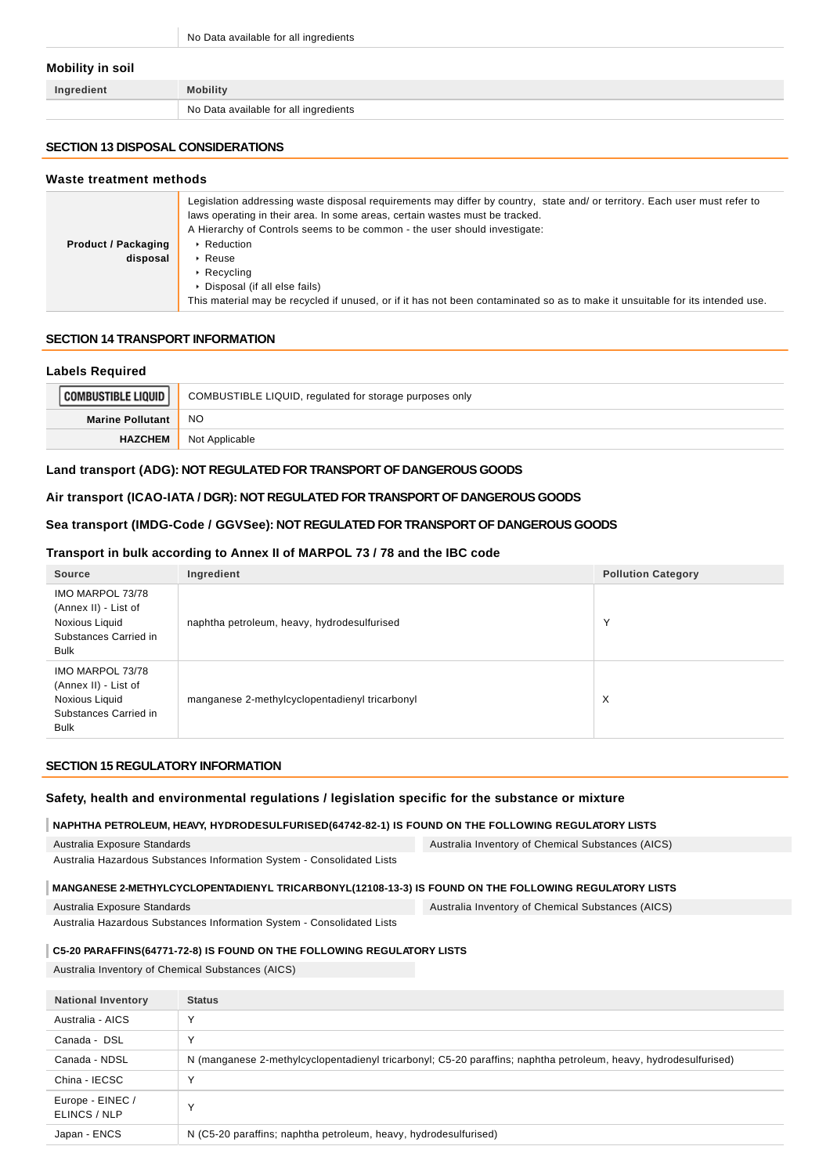No Data available for all ingredients

#### **Mobility in soil**

| Ingredient | <b>Mobility</b>                       |
|------------|---------------------------------------|
|            | No Data available for all ingredients |

# **SECTION 13 DISPOSAL CONSIDERATIONS**

#### **Waste treatment methods**

|                            | Legislation addressing waste disposal requirements may differ by country, state and/ or territory. Each user must refer to<br>laws operating in their area. In some areas, certain wastes must be tracked.<br>A Hierarchy of Controls seems to be common - the user should investigate: |
|----------------------------|-----------------------------------------------------------------------------------------------------------------------------------------------------------------------------------------------------------------------------------------------------------------------------------------|
| <b>Product / Packaging</b> | ▶ Reduction                                                                                                                                                                                                                                                                             |
| disposal                   | $\cdot$ Reuse                                                                                                                                                                                                                                                                           |
|                            | $\triangleright$ Recycling                                                                                                                                                                                                                                                              |
|                            | • Disposal (if all else fails)                                                                                                                                                                                                                                                          |
|                            | This material may be recycled if unused, or if it has not been contaminated so as to make it unsuitable for its intended use.                                                                                                                                                           |

### **SECTION 14 TRANSPORT INFORMATION**

#### **Labels Required**

| <b>COMBUSTIBLE LIQUID</b> | COMBUSTIBLE LIQUID, regulated for storage purposes only |
|---------------------------|---------------------------------------------------------|
| <b>Marine Pollutant</b>   | <sub>NO</sub>                                           |
| <b>HAZCHEM</b>            | Not Applicable                                          |

## **Land transport (ADG): NOT REGULATED FOR TRANSPORT OF DANGEROUS GOODS**

### **Air transport (ICAO-IATA / DGR): NOT REGULATED FOR TRANSPORT OF DANGEROUS GOODS**

# **Sea transport (IMDG-Code / GGVSee): NOT REGULATED FOR TRANSPORT OF DANGEROUS GOODS**

#### **Transport in bulk according to Annex II of MARPOL 73 / 78 and the IBC code**

| <b>Source</b>                                                                                      | Ingredient                                     | <b>Pollution Category</b> |
|----------------------------------------------------------------------------------------------------|------------------------------------------------|---------------------------|
| IMO MARPOL 73/78<br>(Annex II) - List of<br>Noxious Liquid<br>Substances Carried in<br><b>Bulk</b> | naphtha petroleum, heavy, hydrodesulfurised    | $\checkmark$              |
| IMO MARPOL 73/78<br>(Annex II) - List of<br>Noxious Liquid<br>Substances Carried in<br><b>Bulk</b> | manganese 2-methylcyclopentadienyl tricarbonyl | X                         |

### **SECTION 15 REGULATORY INFORMATION**

### **Safety, health and environmental regulations / legislation specific for the substance or mixture**

### **NAPHTHA PETROLEUM, HEAVY, HYDRODESULFURISED(64742-82-1) IS FOUND ON THE FOLLOWING REGULATORY LISTS**

| Australia Exposure Standards                                                                          | Australia Inventory of Chemical Substances (AICS) |
|-------------------------------------------------------------------------------------------------------|---------------------------------------------------|
| Australia Hazardous Substances Information System - Consolidated Lists                                |                                                   |
| MANGANESE 2-METHYLCYCLOPENTADIENYL TRICARBONYL(12108-13-3) IS FOUND ON THE FOLLOWING REGULATORY LISTS |                                                   |

Australia Exposure Standards

Australia Inventory of Chemical Substances (AICS)

Australia Hazardous Substances Information System - Consolidated Lists

# **C5-20 PARAFFINS(64771-72-8) IS FOUND ON THE FOLLOWING REGULATORY LISTS**

Australia Inventory of Chemical Substances (AICS)

| <b>National Inventory</b>        | <b>Status</b>                                                                                                    |
|----------------------------------|------------------------------------------------------------------------------------------------------------------|
| Australia - AICS                 | $\checkmark$                                                                                                     |
| Canada - DSL                     | $\checkmark$                                                                                                     |
| Canada - NDSL                    | N (manganese 2-methylcyclopentadienyl tricarbonyl; C5-20 paraffins; naphtha petroleum, heavy, hydrodesulfurised) |
| China - IECSC                    | N                                                                                                                |
| Europe - EINEC /<br>ELINCS / NLP | $\checkmark$                                                                                                     |
| Japan - ENCS                     | N (C5-20 paraffins; naphtha petroleum, heavy, hydrodesulfurised)                                                 |